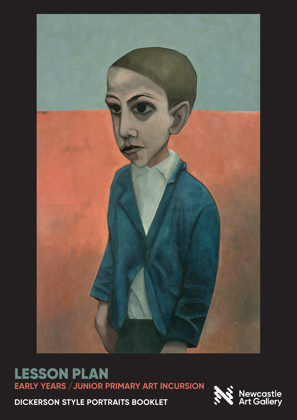

# LESSON PLAN **EARLY YEARS /JUNIOR PRIMARY ART INCURSION**

**DICKERSON STYLE PORTRAITS BOOKLET**